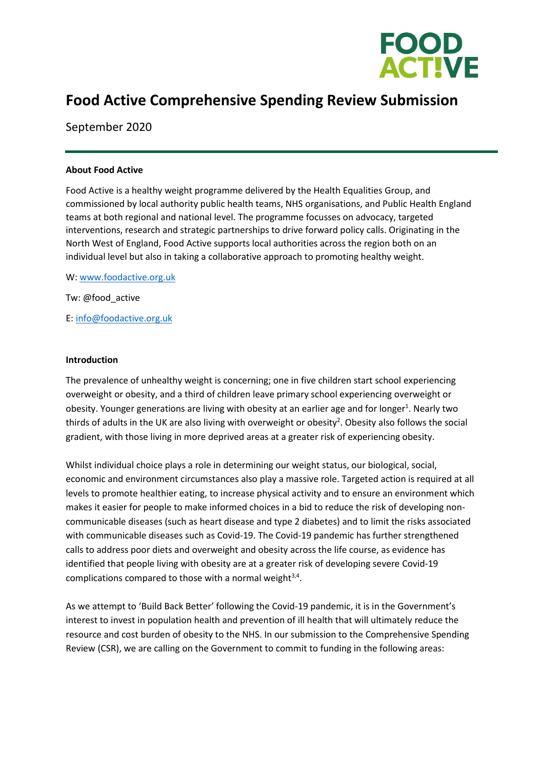

# **Food Active Comprehensive Spending Review Submission**

September 2020

#### **About Food Active**

Food Active is a healthy weight programme delivered by the Health Equalities Group, and commissioned by local authority public health teams, NHS organisations, and Public Health England teams at both regional and national level. The programme focusses on advocacy, targeted interventions, research and strategic partnerships to drive forward policy calls. Originating in the North West of England, Food Active supports local authorities across the region both on an individual level but also in taking a collaborative approach to promoting healthy weight.

W: [www.foodactive.org.uk](http://www.foodactive.org.uk/) Tw: @food\_active E: [info@foodactive.org.uk](mailto:info@foodactive.org.uk)

#### **Introduction**

The prevalence of unhealthy weight is concerning; one in five children start school experiencing overweight or obesity, and a third of children leave primary school experiencing overweight or obesity. Younger generations are living with obesity at an earlier age and for longer<sup>1</sup>. Nearly two thirds of adults in the UK are also living with overweight or obesity<sup>2</sup>. Obesity also follows the social gradient, with those living in more deprived areas at a greater risk of experiencing obesity.

Whilst individual choice plays a role in determining our weight status, our biological, social, economic and environment circumstances also play a massive role. Targeted action is required at all levels to promote healthier eating, to increase physical activity and to ensure an environment which makes it easier for people to make informed choices in a bid to reduce the risk of developing noncommunicable diseases (such as heart disease and type 2 diabetes) and to limit the risks associated with communicable diseases such as Covid-19. The Covid-19 pandemic has further strengthened calls to address poor diets and overweight and obesity across the life course, as evidence has identified that people living with obesity are at a greater risk of developing severe Covid-19 complications compared to those with a normal weight $3,4$ .

As we attempt to 'Build Back Better' following the Covid-19 pandemic, it is in the Government's interest to invest in population health and prevention of ill health that will ultimately reduce the resource and cost burden of obesity to the NHS. In our submission to the Comprehensive Spending Review (CSR), we are calling on the Government to commit to funding in the following areas: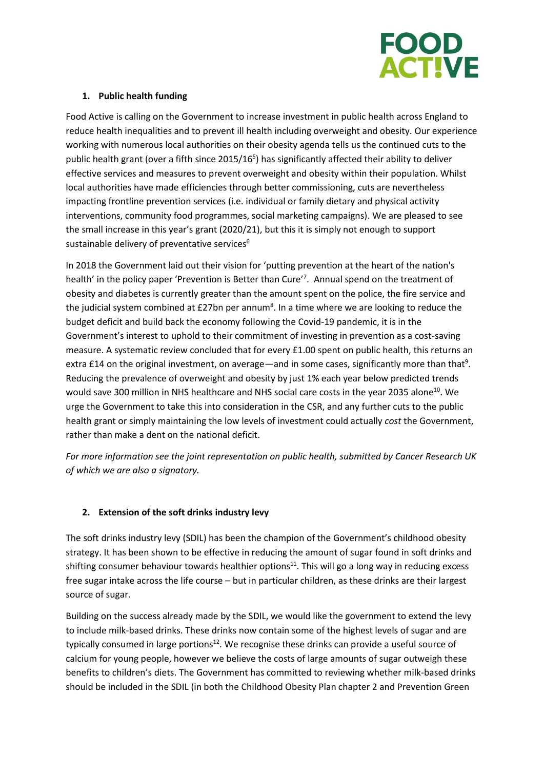

### **1. Public health funding**

Food Active is calling on the Government to increase investment in public health across England to reduce health inequalities and to prevent ill health including overweight and obesity. Our experience working with numerous local authorities on their obesity agenda tells us the continued cuts to the public health grant (over a fifth since 2015/16<sup>5</sup>) has significantly affected their ability to deliver effective services and measures to prevent overweight and obesity within their population. Whilst local authorities have made efficiencies through better commissioning, cuts are nevertheless impacting frontline prevention services (i.e. individual or family dietary and physical activity interventions, community food programmes, social marketing campaigns). We are pleased to see the small increase in this year's grant (2020/21), but this it is simply not enough to support sustainable delivery of preventative services<sup>6</sup>

In 2018 the Government laid out their vision for 'putting prevention at the heart of the nation's health' in the policy paper 'Prevention is Better than Cure'<sup>7</sup>. Annual spend on the treatment of obesity and diabetes is currently greater than the amount spent on the police, the fire service and the judicial system combined at £27bn per annum<sup>8</sup>. In a time where we are looking to reduce the budget deficit and build back the economy following the Covid-19 pandemic, it is in the Government's interest to uphold to their commitment of investing in prevention as a cost-saving measure. A systematic review concluded that for every £1.00 spent on public health, this returns an extra £14 on the original investment, on average—and in some cases, significantly more than that<sup>9</sup>. Reducing the prevalence of overweight and obesity by just 1% each year below predicted trends would save 300 million in NHS healthcare and NHS social care costs in the year 2035 alone<sup>10</sup>. We urge the Government to take this into consideration in the CSR, and any further cuts to the public health grant or simply maintaining the low levels of investment could actually *cost* the Government, rather than make a dent on the national deficit.

*For more information see the joint representation on public health, submitted by Cancer Research UK of which we are also a signatory.* 

## **2. Extension of the soft drinks industry levy**

The soft drinks industry levy (SDIL) has been the champion of the Government's childhood obesity strategy. It has been shown to be effective in reducing the amount of sugar found in soft drinks and shifting consumer behaviour towards healthier options<sup>11</sup>. This will go a long way in reducing excess free sugar intake across the life course – but in particular children, as these drinks are their largest source of sugar.

Building on the success already made by the SDIL, we would like the government to extend the levy to include milk-based drinks. These drinks now contain some of the highest levels of sugar and are typically consumed in large portions<sup>12</sup>. We recognise these drinks can provide a useful source of calcium for young people, however we believe the costs of large amounts of sugar outweigh these benefits to children's diets. The Government has committed to reviewing whether milk-based drinks should be included in the SDIL (in both the Childhood Obesity Plan chapter 2 and Prevention Green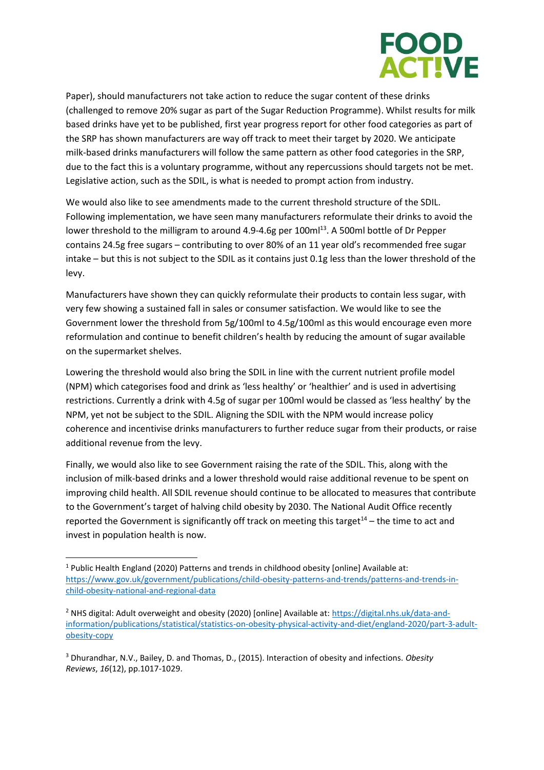

Paper), should manufacturers not take action to reduce the sugar content of these drinks (challenged to remove 20% sugar as part of the Sugar Reduction Programme). Whilst results for milk based drinks have yet to be published, first year progress report for other food categories as part of the SRP has shown manufacturers are way off track to meet their target by 2020. We anticipate milk-based drinks manufacturers will follow the same pattern as other food categories in the SRP, due to the fact this is a voluntary programme, without any repercussions should targets not be met. Legislative action, such as the SDIL, is what is needed to prompt action from industry.

We would also like to see amendments made to the current threshold structure of the SDIL. Following implementation, we have seen many manufacturers reformulate their drinks to avoid the lower threshold to the milligram to around 4.9-4.6g per 100ml<sup>13</sup>. A 500ml bottle of Dr Pepper contains 24.5g free sugars – contributing to over 80% of an 11 year old's recommended free sugar intake – but this is not subject to the SDIL as it contains just 0.1g less than the lower threshold of the levy.

Manufacturers have shown they can quickly reformulate their products to contain less sugar, with very few showing a sustained fall in sales or consumer satisfaction. We would like to see the Government lower the threshold from 5g/100ml to 4.5g/100ml as this would encourage even more reformulation and continue to benefit children's health by reducing the amount of sugar available on the supermarket shelves.

Lowering the threshold would also bring the SDIL in line with the current nutrient profile model (NPM) which categorises food and drink as 'less healthy' or 'healthier' and is used in advertising restrictions. Currently a drink with 4.5g of sugar per 100ml would be classed as 'less healthy' by the NPM, yet not be subject to the SDIL. Aligning the SDIL with the NPM would increase policy coherence and incentivise drinks manufacturers to further reduce sugar from their products, or raise additional revenue from the levy.

Finally, we would also like to see Government raising the rate of the SDIL. This, along with the inclusion of milk-based drinks and a lower threshold would raise additional revenue to be spent on improving child health. All SDIL revenue should continue to be allocated to measures that contribute to the Government's target of halving child obesity by 2030. The National Audit Office recently reported the Government is significantly off track on meeting this target $14$  – the time to act and invest in population health is now.

<sup>&</sup>lt;sup>1</sup> Public Health England (2020) Patterns and trends in childhood obesity [online] Available at: [https://www.gov.uk/government/publications/child-obesity-patterns-and-trends/patterns-and-trends-in](https://www.gov.uk/government/publications/child-obesity-patterns-and-trends/patterns-and-trends-in-child-obesity-national-and-regional-data)[child-obesity-national-and-regional-data](https://www.gov.uk/government/publications/child-obesity-patterns-and-trends/patterns-and-trends-in-child-obesity-national-and-regional-data)

<sup>2</sup> NHS digital: Adult overweight and obesity (2020) [online] Available at: [https://digital.nhs.uk/data-and](https://digital.nhs.uk/data-and-information/publications/statistical/statistics-on-obesity-physical-activity-and-diet/england-2020/part-3-adult-obesity-copy)[information/publications/statistical/statistics-on-obesity-physical-activity-and-diet/england-2020/part-3-adult](https://digital.nhs.uk/data-and-information/publications/statistical/statistics-on-obesity-physical-activity-and-diet/england-2020/part-3-adult-obesity-copy)[obesity-copy](https://digital.nhs.uk/data-and-information/publications/statistical/statistics-on-obesity-physical-activity-and-diet/england-2020/part-3-adult-obesity-copy)

<sup>3</sup> Dhurandhar, N.V., Bailey, D. and Thomas, D., (2015). Interaction of obesity and infections. *Obesity Reviews*, *16*(12), pp.1017-1029.